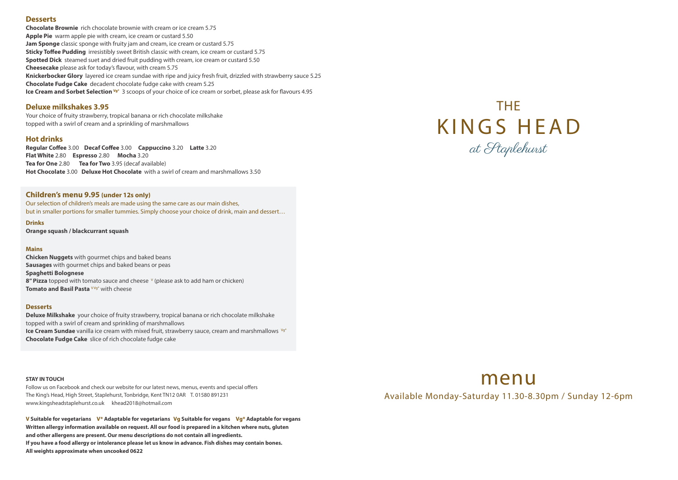#### **Desserts**

**Chocolate Brownie** rich chocolate brownie with cream or ice cream 5.75 **Apple Pie** warm apple pie with cream, ice cream or custard 5.50 **Jam Sponge** classic sponge with fruity jam and cream, ice cream or custard 5.75 **Sticky Toffee Pudding** irresistibly sweet British classic with cream, ice cream or custard 5.75 **Spotted Dick** steamed suet and dried fruit pudding with cream, ice cream or custard 5.50 **Cheesecake** please ask for today's flavour, with cream 5.75 **Knickerbocker Glory** layered ice cream sundae with ripe and juicy fresh fruit, drizzled with strawberry sauce 5.25 **Chocolate Fudge Cake** decadent chocolate fudge cake with cream 5.25 **Ice Cream and Sorbet Selection Vg\*** 3 scoops of your choice of ice cream or sorbet, please ask for flavours 4.95

**Regular Coffee** 3.00 **Decaf Coffee** 3.00 **Cappuccino** 3.20 **Latte** 3.20 **Flat White** 2.80 **Espresso** 2.80 **Mocha** 3.20 **Tea for One** 2.80 **Tea for Two** 3.95 (decaf available) **Hot Chocolate** 3.00 **Deluxe Hot Chocolate** with a swirl of cream and marshmallows 3.50

**Chicken Nuggets** with gourmet chips and baked beans **Sausages** with gourmet chips and baked beans or peas **Spaghetti Bolognese** 8" Pizza topped with tomato sauce and cheese <sup>M</sup> (please ask to add ham or chicken) **Tomato and Basil Pasta** VVg<sup>\*</sup> with cheese

### **Deluxe milkshakes 3.95**

Your choice of fruity strawberry, tropical banana or rich chocolate milkshake topped with a swirl of cream and a sprinkling of marshmallows

#### **Hot drinks**

Follow us on Facebook and check our website for our latest news, menus, events and special offers The King's Head, High Street, Staplehurst, Tonbridge, Kent TN12 0AR T. 01580 891231 www.kingsheadstaplehurst.co.uk khead2018@hotmail.com

#### **Children's menu 9.95 (under 12s only)**

Our selection of children's meals are made using the same care as our main dishes, but in smaller portions for smaller tummies. Simply choose your choice of drink, main and dessert…

#### **Drinks**

**Orange squash / blackcurrant squash**

#### **Mains**

#### **Desserts**

# THE KINGS HEAD at Staplehurst



**Deluxe Milkshake** your choice of fruity strawberry, tropical banana or rich chocolate milkshake topped with a swirl of cream and sprinkling of marshmallows **Ice Cream Sundae** vanilla ice cream with mixed fruit, strawberry sauce, cream and marshmallows <sup>vg\*</sup> **Chocolate Fudge Cake** slice of rich chocolate fudge cake

#### **STAY IN TOUCH**

**V Suitable for vegetarians V\* Adaptable for vegetarians Vg Suitable for vegans Vg\* Adaptable for vegans Written allergy information available on request. All our food is prepared in a kitchen where nuts, gluten and other allergens are present. Our menu descriptions do not contain all ingredients. If you have a food allergy or intolerance please let us know in advance. Fish dishes may contain bones. All weights approximate when uncooked 0622**

## menu Available Monday-Saturday 11.30-8.30pm / Sunday 12-6pm